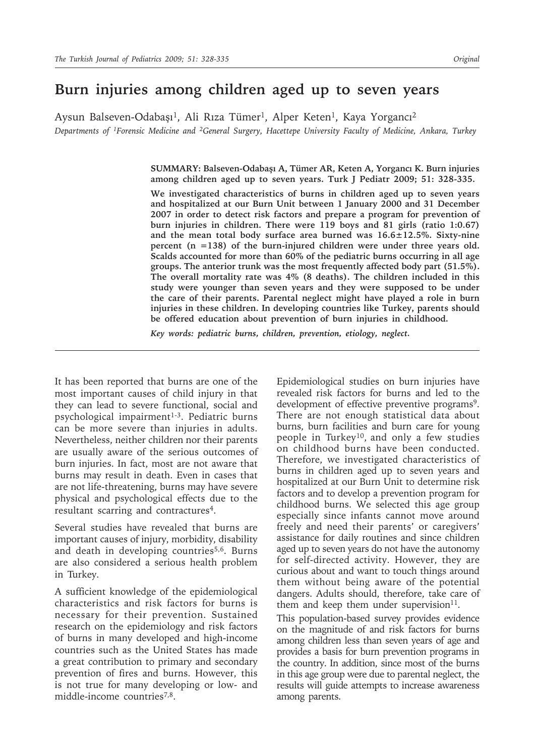# **Burn injuries among children aged up to seven years**

Aysun Balseven-Odabaşı<sup>1</sup>, Ali Rıza Tümer<sup>1</sup>, Alper Keten<sup>1</sup>, Kaya Yorgancı<sup>2</sup> *Departments of 1Forensic Medicine and 2General Surgery, Hacettepe University Faculty of Medicine, Ankara, Turkey*

> **SUMMARY: Balseven-Odabaşı A, Tümer AR, Keten A, Yorgancı K. Burn injuries among children aged up to seven years. Turk J Pediatr 2009; 51: 328-335.**

> **We investigated characteristics of burns in children aged up to seven years and hospitalized at our Burn Unit between 1 January 2000 and 31 December 2007 in order to detect risk factors and prepare a program for prevention of burn injuries in children. There were 119 boys and 81 girls (ratio 1:0.67) and the mean total body surface area burned was 16.6±12.5%. Sixty-nine percent (n =138) of the burn-injured children were under three years old. Scalds accounted for more than 60% of the pediatric burns occurring in all age groups. The anterior trunk was the most frequently affected body part (51.5%). The overall mortality rate was 4% (8 deaths). The children included in this study were younger than seven years and they were supposed to be under the care of their parents. Parental neglect might have played a role in burn injuries in these children. In developing countries like Turkey, parents should be offered education about prevention of burn injuries in childhood.**

*Key words: pediatric burns, children, prevention, etiology, neglect.*

It has been reported that burns are one of the most important causes of child injury in that they can lead to severe functional, social and psychological impairment<sup>1-3</sup>. Pediatric burns can be more severe than injuries in adults. Nevertheless, neither children nor their parents are usually aware of the serious outcomes of burn injuries. In fact, most are not aware that burns may result in death. Even in cases that are not life-threatening, burns may have severe physical and psychological effects due to the resultant scarring and contractures<sup>4</sup>.

Several studies have revealed that burns are important causes of injury, morbidity, disability and death in developing countries<sup>5,6</sup>. Burns are also considered a serious health problem in Turkey.

A sufficient knowledge of the epidemiological characteristics and risk factors for burns is necessary for their prevention. Sustained research on the epidemiology and risk factors of burns in many developed and high-income countries such as the United States has made a great contribution to primary and secondary prevention of fires and burns. However, this is not true for many developing or low- and middle-income countries<sup>7,8</sup>.

Epidemiological studies on burn injuries have revealed risk factors for burns and led to the development of effective preventive programs<sup>9</sup>. There are not enough statistical data about burns, burn facilities and burn care for young people in Turkey10, and only a few studies on childhood burns have been conducted. Therefore, we investigated characteristics of burns in children aged up to seven years and hospitalized at our Burn Unit to determine risk factors and to develop a prevention program for childhood burns. We selected this age group especially since infants cannot move around freely and need their parents' or caregivers' assistance for daily routines and since children aged up to seven years do not have the autonomy for self-directed activity. However, they are curious about and want to touch things around them without being aware of the potential dangers. Adults should, therefore, take care of them and keep them under supervision $11$ .

This population-based survey provides evidence on the magnitude of and risk factors for burns among children less than seven years of age and provides a basis for burn prevention programs in the country. In addition, since most of the burns in this age group were due to parental neglect, the results will guide attempts to increase awareness among parents.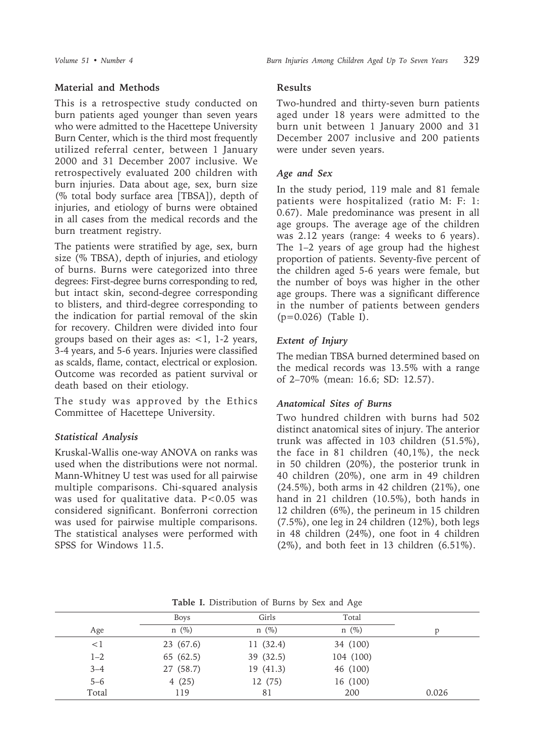# **Material and Methods**

This is a retrospective study conducted on burn patients aged younger than seven years who were admitted to the Hacettepe University Burn Center, which is the third most frequently utilized referral center, between 1 January 2000 and 31 December 2007 inclusive. We retrospectively evaluated 200 children with burn injuries. Data about age, sex, burn size (% total body surface area [TBSA]), depth of injuries, and etiology of burns were obtained in all cases from the medical records and the burn treatment registry.

The patients were stratified by age, sex, burn size (% TBSA), depth of injuries, and etiology of burns. Burns were categorized into three degrees: First-degree burns corresponding to red, but intact skin, second-degree corresponding to blisters, and third-degree corresponding to the indication for partial removal of the skin for recovery. Children were divided into four groups based on their ages as:  $\lt 1$ , 1-2 years, 3-4 years, and 5-6 years. Injuries were classified as scalds, flame, contact, electrical or explosion. Outcome was recorded as patient survival or death based on their etiology.

The study was approved by the Ethics Committee of Hacettepe University.

# *Statistical Analysis*

Kruskal-Wallis one-way ANOVA on ranks was used when the distributions were not normal. Mann-Whitney U test was used for all pairwise multiple comparisons. Chi-squared analysis was used for qualitative data. P<0.05 was considered significant. Bonferroni correction was used for pairwise multiple comparisons. The statistical analyses were performed with SPSS for Windows 11.5.

#### **Results**

Two-hundred and thirty-seven burn patients aged under 18 years were admitted to the burn unit between 1 January 2000 and 31 December 2007 inclusive and 200 patients were under seven years.

# *Age and Sex*

In the study period, 119 male and 81 female patients were hospitalized (ratio M: F: 1: 0.67). Male predominance was present in all age groups. The average age of the children was 2.12 years (range: 4 weeks to 6 years). The 1–2 years of age group had the highest proportion of patients. Seventy-five percent of the children aged 5-6 years were female, but the number of boys was higher in the other age groups. There was a significant difference in the number of patients between genders (p=0.026) (Table I).

# *Extent of Injury*

The median TBSA burned determined based on the medical records was 13.5% with a range of 2–70% (mean: 16.6; SD: 12.57).

# *Anatomical Sites of Burns*

Two hundred children with burns had 502 distinct anatomical sites of injury. The anterior trunk was affected in 103 children (51.5%), the face in 81 children (40,1%), the neck in 50 children (20%), the posterior trunk in 40 children (20%), one arm in 49 children  $(24.5\%)$ , both arms in 42 children  $(21\%)$ , one hand in 21 children (10.5%), both hands in 12 children (6%), the perineum in 15 children (7.5%), one leg in 24 children (12%), both legs in 48 children (24%), one foot in 4 children (2%), and both feet in 13 children (6.51%).

|         | <b>Boys</b> | Girls     | Total     |       |
|---------|-------------|-----------|-----------|-------|
| Age     | $n \ (\%)$  | $n(\%)$   | $n(\%)$   |       |
| $<$ 1   | 23(67.6)    | 11(32.4)  | 34 (100)  |       |
| $1 - 2$ | 65 (62.5)   | 39 (32.5) | 104 (100) |       |
| $3 - 4$ | 27 (58.7)   | 19(41.3)  | 46 (100)  |       |
| $5 - 6$ | 4(25)       | 12 (75)   | 16 (100)  |       |
| Total   | 119         | 81        | 200       | 0.026 |

**Table I.** Distribution of Burns by Sex and Age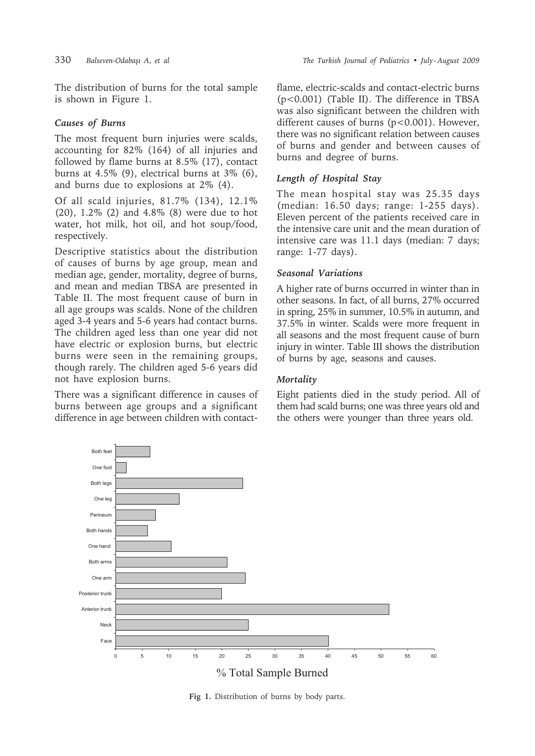The distribution of burns for the total sample is shown in Figure 1.

# *Causes of Burns*

The most frequent burn injuries were scalds, accounting for 82% (164) of all injuries and followed by flame burns at 8.5% (17), contact burns at 4.5% (9), electrical burns at 3% (6), and burns due to explosions at 2% (4).

Of all scald injuries, 81.7% (134), 12.1% (20), 1.2% (2) and 4.8% (8) were due to hot water, hot milk, hot oil, and hot soup/food, respectively.

Descriptive statistics about the distribution of causes of burns by age group, mean and median age, gender, mortality, degree of burns, and mean and median TBSA are presented in Table II. The most frequent cause of burn in all age groups was scalds. None of the children aged 3-4 years and 5-6 years had contact burns. The children aged less than one year did not have electric or explosion burns, but electric burns were seen in the remaining groups, though rarely. The children aged 5-6 years did not have explosion burns.

There was a significant difference in causes of burns between age groups and a significant difference in age between children with contactflame, electric-scalds and contact-electric burns (p<0.001) (Table II). The difference in TBSA was also significant between the children with different causes of burns (p<0.001). However, there was no significant relation between causes of burns and gender and between causes of burns and degree of burns.

# *Length of Hospital Stay*

The mean hospital stay was 25.35 days (median: 16.50 days; range: 1-255 days). Eleven percent of the patients received care in the intensive care unit and the mean duration of intensive care was 11.1 days (median: 7 days; range: 1-77 days).

# *Seasonal Variations*

A higher rate of burns occurred in winter than in other seasons. In fact, of all burns, 27% occurred in spring, 25% in summer, 10.5% in autumn, and 37.5% in winter. Scalds were more frequent in all seasons and the most frequent cause of burn injury in winter. Table III shows the distribution of burns by age, seasons and causes.

# *Mortality*

Eight patients died in the study period. All of them had scald burns; one was three years old and the others were younger than three years old.



**Fig 1.** Distribution of burns by body parts.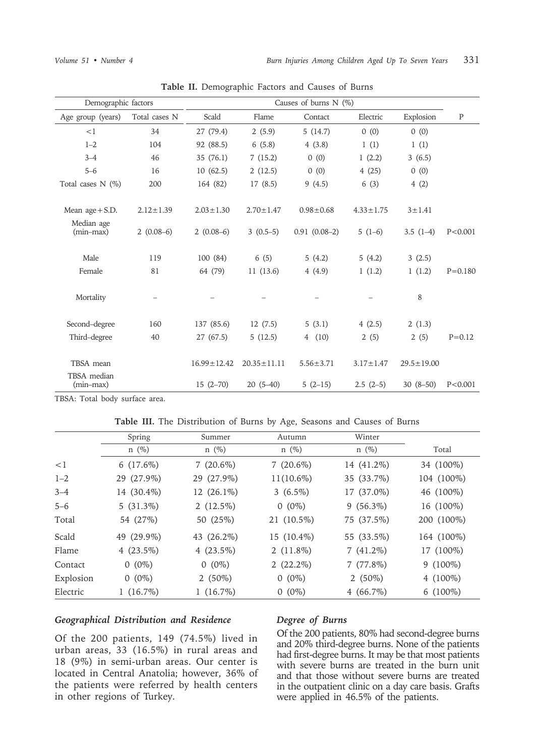| Demographic factors       |                 | Causes of burns $N$ (%) |                   |                 |                 |                  |             |
|---------------------------|-----------------|-------------------------|-------------------|-----------------|-----------------|------------------|-------------|
| Age group (years)         | Total cases N   | Scald                   | Flame             | Contact         | Electric        | Explosion        | ${\bf P}$   |
| <1                        | 34              | 27 (79.4)               | 2(5.9)            | 5(14.7)         | 0(0)            | 0(0)             |             |
| $1 - 2$                   | 104             | 92 (88.5)               | 6(5.8)            | 4(3.8)          | 1(1)            | 1(1)             |             |
| $3 - 4$                   | 46              | 35 (76.1)               | 7(15.2)           | 0(0)            | 1(2.2)          | 3(6.5)           |             |
| $5 - 6$                   | 16              | 10(62.5)                | 2(12.5)           | 0(0)            | 4(25)           | 0(0)             |             |
| Total cases $N$ (%)       | 200             | 164 (82)                | 17(8.5)           | 9(4.5)          | 6(3)            | 4(2)             |             |
|                           |                 |                         |                   |                 |                 |                  |             |
| Mean $age + S.D.$         | $2.12 \pm 1.39$ | $2.03 \pm 1.30$         | $2.70 \pm 1.47$   | $0.98 \pm 0.68$ | $4.33 \pm 1.75$ | $3 \pm 1.41$     |             |
| Median age<br>$(min-max)$ | $2(0.08-6)$     | $2(0.08-6)$             | $3(0.5-5)$        | $0.91(0.08-2)$  | $5(1-6)$        | $3.5(1-4)$       | P < 0.001   |
| Male                      | 119             | 100 (84)                | 6(5)              | 5(4.2)          | 5(4.2)          | 3(2.5)           |             |
| Female                    | 81              | 64 (79)                 | 11(13.6)          | 4(4.9)          | 1(1.2)          | 1(1.2)           | $P = 0.180$ |
| Mortality                 |                 |                         |                   |                 |                 | 8                |             |
| Second-degree             | 160             | 137 (85.6)              | 12(7.5)           | 5(3.1)          | 4(2.5)          | 2(1.3)           |             |
| Third-degree              | 40              | 27 (67.5)               | 5(12.5)           | 4(10)           | 2(5)            | 2(5)             | $P = 0.12$  |
| TBSA mean<br>TBSA median  |                 | $16.99 \pm 12.42$       | $20.35 \pm 11.11$ | $5.56 \pm 3.71$ | $3.17 \pm 1.47$ | $29.5 \pm 19.00$ |             |
| $(min-max)$               |                 | $15(2-70)$              | $20(5-40)$        | $5(2-15)$       | $2.5(2-5)$      | $30(8-50)$       | P < 0.001   |

**Table II.** Demographic Factors and Causes of Burns

TBSA: Total body surface area.

| Table III. The Distribution of Burns by Age, Seasons and Causes of Burns |  |  |  |  |  |  |  |
|--------------------------------------------------------------------------|--|--|--|--|--|--|--|
|--------------------------------------------------------------------------|--|--|--|--|--|--|--|

|           | Spring       | Summer       | Autumn       | Winter      |             |
|-----------|--------------|--------------|--------------|-------------|-------------|
|           | $n(\%)$      | $n \ (\%)$   | $n \ (\%)$   | $n \ (\%)$  | Total       |
| $\leq 1$  | $6(17.6\%)$  | $7(20.6\%)$  | $7(20.6\%)$  | 14 (41.2%)  | 34 (100%)   |
| $1 - 2$   | 29 (27.9%)   | 29 (27.9%)   | $11(10.6\%)$ | 35 (33.7%)  | 104 (100%)  |
| $3 - 4$   | 14 (30.4%)   | 12 (26.1%)   | $3(6.5\%)$   | 17 (37.0%)  | 46 (100%)   |
| $5 - 6$   | $5(31.3\%)$  | $2(12.5\%)$  | $0(0\%)$     | $9(56.3\%)$ | 16 (100%)   |
| Total     | 54 (27%)     | 50 (25%)     | 21 (10.5%)   | 75 (37.5%)  | 200 (100%)  |
| Scald     | 49 (29.9%)   | 43 (26.2%)   | 15 (10.4%)   | 55 (33.5%)  | 164 (100%)  |
| Flame     | 4 $(23.5\%)$ | 4 $(23.5\%)$ | $2(11.8\%)$  | $7(41.2\%)$ | 17 (100%)   |
| Contact   | $0(0\%)$     | $0(0\%)$     | $2(22.2\%)$  | 7(77.8%)    | $9(100\%)$  |
| Explosion | $0(0\%)$     | 2 $(50\%)$   | $0(0\%)$     | 2 $(50\%)$  | 4 $(100\%)$ |
| Electric  | $1(16.7\%)$  | $1(16.7\%)$  | $0(0\%)$     | $4(66.7\%)$ | $6(100\%)$  |

#### *Geographical Distribution and Residence*

Of the 200 patients, 149 (74.5%) lived in urban areas, 33 (16.5%) in rural areas and 18 (9%) in semi-urban areas. Our center is located in Central Anatolia; however, 36% of the patients were referred by health centers in other regions of Turkey.

## *Degree of Burns*

Of the 200 patients, 80% had second-degree burns and 20% third-degree burns. None of the patients had first-degree burns. It may be that most patients with severe burns are treated in the burn unit and that those without severe burns are treated in the outpatient clinic on a day care basis. Grafts were applied in 46.5% of the patients.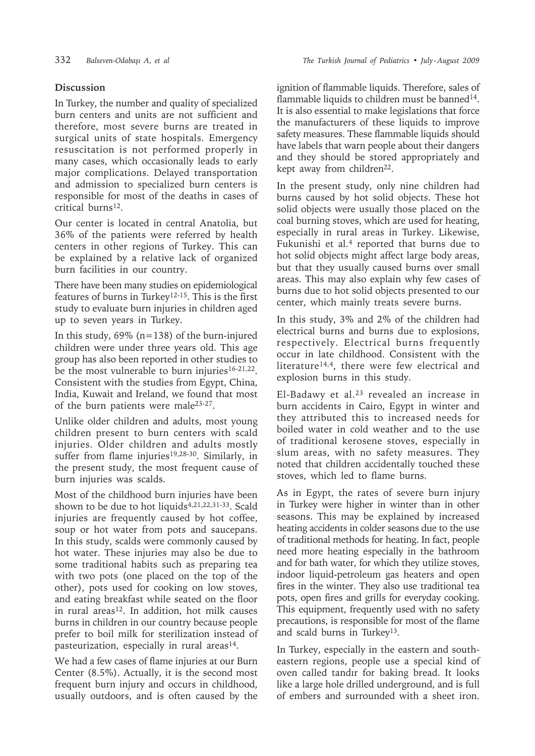# **Discussion**

In Turkey, the number and quality of specialized burn centers and units are not sufficient and therefore, most severe burns are treated in surgical units of state hospitals. Emergency resuscitation is not performed properly in many cases, which occasionally leads to early major complications. Delayed transportation and admission to specialized burn centers is responsible for most of the deaths in cases of critical burns<sup>12</sup>.

Our center is located in central Anatolia, but 36% of the patients were referred by health centers in other regions of Turkey. This can be explained by a relative lack of organized burn facilities in our country.

There have been many studies on epidemiological features of burns in Turkey12-15. This is the first study to evaluate burn injuries in children aged up to seven years in Turkey.

In this study,  $69\%$  (n=138) of the burn-injured children were under three years old. This age group has also been reported in other studies to be the most vulnerable to burn injuries<sup>16-21,22</sup>. Consistent with the studies from Egypt, China, India, Kuwait and Ireland, we found that most of the burn patients were male23-27.

Unlike older children and adults, most young children present to burn centers with scald injuries. Older children and adults mostly suffer from flame injuries<sup>19,28-30</sup>. Similarly, in the present study, the most frequent cause of burn injuries was scalds.

Most of the childhood burn injuries have been shown to be due to hot liquids<sup>4,21,22,31-33</sup>. Scald injuries are frequently caused by hot coffee, soup or hot water from pots and saucepans. In this study, scalds were commonly caused by hot water. These injuries may also be due to some traditional habits such as preparing tea with two pots (one placed on the top of the other), pots used for cooking on low stoves, and eating breakfast while seated on the floor in rural areas $12$ . In addition, hot milk causes burns in children in our country because people prefer to boil milk for sterilization instead of pasteurization, especially in rural areas $14$ .

We had a few cases of flame injuries at our Burn Center (8.5%). Actually, it is the second most frequent burn injury and occurs in childhood, usually outdoors, and is often caused by the ignition of flammable liquids. Therefore, sales of flammable liquids to children must be banned<sup>14</sup>. It is also essential to make legislations that force the manufacturers of these liquids to improve safety measures. These flammable liquids should have labels that warn people about their dangers and they should be stored appropriately and kept away from children<sup>22</sup>.

In the present study, only nine children had burns caused by hot solid objects. These hot solid objects were usually those placed on the coal burning stoves, which are used for heating, especially in rural areas in Turkey. Likewise, Fukunishi et al.<sup>4</sup> reported that burns due to hot solid objects might affect large body areas, but that they usually caused burns over small areas. This may also explain why few cases of burns due to hot solid objects presented to our center, which mainly treats severe burns.

In this study, 3% and 2% of the children had electrical burns and burns due to explosions, respectively. Electrical burns frequently occur in late childhood. Consistent with the literature<sup>14,4</sup>, there were few electrical and explosion burns in this study.

El-Badawy et al.23 revealed an increase in burn accidents in Cairo, Egypt in winter and they attributed this to increased needs for boiled water in cold weather and to the use of traditional kerosene stoves, especially in slum areas, with no safety measures. They noted that children accidentally touched these stoves, which led to flame burns.

As in Egypt, the rates of severe burn injury in Turkey were higher in winter than in other seasons. This may be explained by increased heating accidents in colder seasons due to the use of traditional methods for heating. In fact, people need more heating especially in the bathroom and for bath water, for which they utilize stoves, indoor liquid-petroleum gas heaters and open fires in the winter. They also use traditional tea pots, open fires and grills for everyday cooking. This equipment, frequently used with no safety precautions, is responsible for most of the flame and scald burns in Turkey<sup>13</sup>.

In Turkey, especially in the eastern and southeastern regions, people use a special kind of oven called tandır for baking bread. It looks like a large hole drilled underground, and is full of embers and surrounded with a sheet iron.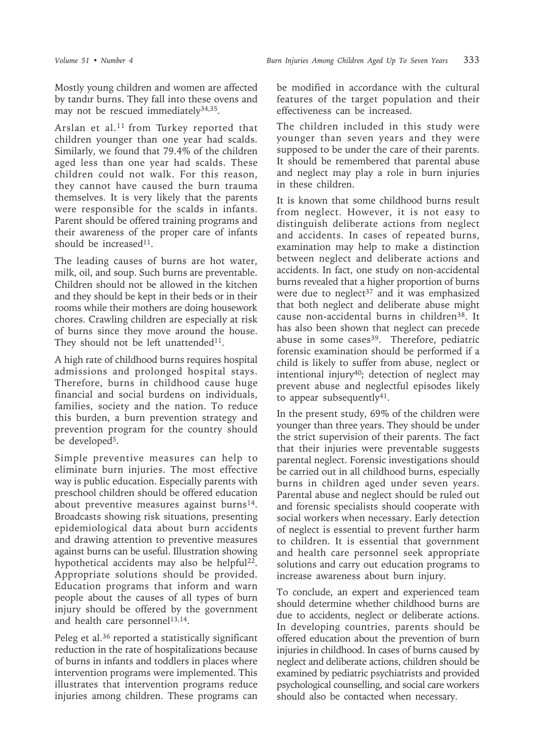Mostly young children and women are affected by tandır burns. They fall into these ovens and may not be rescued immediately<sup>34,35</sup>.

Arslan et al.<sup>11</sup> from Turkey reported that children younger than one year had scalds. Similarly, we found that 79.4% of the children aged less than one year had scalds. These children could not walk. For this reason, they cannot have caused the burn trauma themselves. It is very likely that the parents were responsible for the scalds in infants. Parent should be offered training programs and their awareness of the proper care of infants should be increased<sup>11</sup>.

The leading causes of burns are hot water, milk, oil, and soup. Such burns are preventable. Children should not be allowed in the kitchen and they should be kept in their beds or in their rooms while their mothers are doing housework chores. Crawling children are especially at risk of burns since they move around the house. They should not be left unattended<sup>11</sup>.

A high rate of childhood burns requires hospital admissions and prolonged hospital stays. Therefore, burns in childhood cause huge financial and social burdens on individuals, families, society and the nation. To reduce this burden, a burn prevention strategy and prevention program for the country should be developed<sup>5</sup>.

Simple preventive measures can help to eliminate burn injuries. The most effective way is public education. Especially parents with preschool children should be offered education about preventive measures against burns<sup>14</sup>. Broadcasts showing risk situations, presenting epidemiological data about burn accidents and drawing attention to preventive measures against burns can be useful. Illustration showing hypothetical accidents may also be helpful<sup>22</sup>. Appropriate solutions should be provided. Education programs that inform and warn people about the causes of all types of burn injury should be offered by the government and health care personnel<sup>13,14</sup>.

Peleg et al.<sup>36</sup> reported a statistically significant reduction in the rate of hospitalizations because of burns in infants and toddlers in places where intervention programs were implemented. This illustrates that intervention programs reduce injuries among children. These programs can

be modified in accordance with the cultural features of the target population and their effectiveness can be increased.

The children included in this study were younger than seven years and they were supposed to be under the care of their parents. It should be remembered that parental abuse and neglect may play a role in burn injuries in these children.

It is known that some childhood burns result from neglect. However, it is not easy to distinguish deliberate actions from neglect and accidents. In cases of repeated burns, examination may help to make a distinction between neglect and deliberate actions and accidents. In fact, one study on non-accidental burns revealed that a higher proportion of burns were due to neglect<sup>37</sup> and it was emphasized that both neglect and deliberate abuse might cause non-accidental burns in children<sup>38</sup>. It has also been shown that neglect can precede abuse in some cases $39$ . Therefore, pediatric forensic examination should be performed if a child is likely to suffer from abuse, neglect or intentional injury<sup>40</sup>; detection of neglect may prevent abuse and neglectful episodes likely to appear subsequently $41$ .

In the present study, 69% of the children were younger than three years. They should be under the strict supervision of their parents. The fact that their injuries were preventable suggests parental neglect. Forensic investigations should be carried out in all childhood burns, especially burns in children aged under seven years. Parental abuse and neglect should be ruled out and forensic specialists should cooperate with social workers when necessary. Early detection of neglect is essential to prevent further harm to children. It is essential that government and health care personnel seek appropriate solutions and carry out education programs to increase awareness about burn injury.

To conclude, an expert and experienced team should determine whether childhood burns are due to accidents, neglect or deliberate actions. In developing countries, parents should be offered education about the prevention of burn injuries in childhood. In cases of burns caused by neglect and deliberate actions, children should be examined by pediatric psychiatrists and provided psychological counselling, and social care workers should also be contacted when necessary.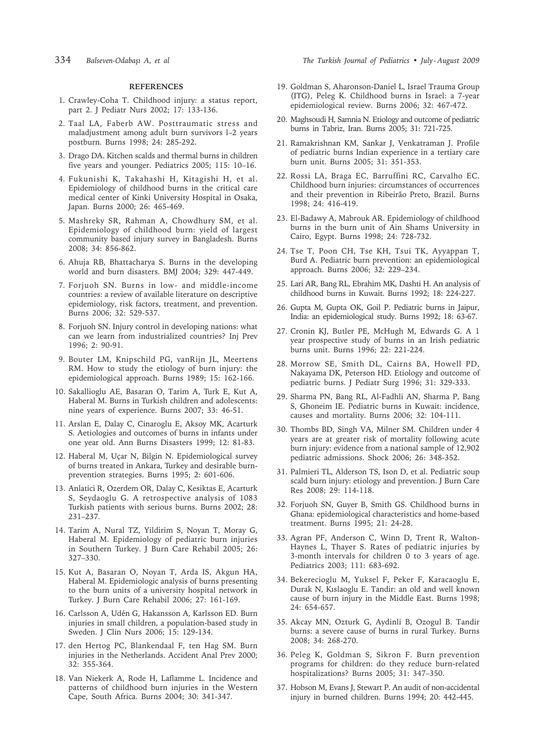#### **REFERENCES**

- 1. Crawley-Coha T. Childhood injury: a status report, part 2. J Pediatr Nurs 2002; 17: 133-136.
- 2. Taal LA, Faberb AW. Posttraumatic stress and maladjustment among adult burn survivors l–2 years postburn. Burns 1998; 24: 285-292.
- 3. Drago DA. Kitchen scalds and thermal burns in children five years and younger. Pediatrics 2005; 115: 10–16.
- 4. Fukunishi K, Takahashi H, Kitagishi H, et al. Epidemiology of childhood burns in the critical care medical center of Kinki University Hospital in Osaka, Japan. Burns 2000; 26: 465-469.
- 5. Mashreky SR, Rahman A, Chowdhury SM, et al. Epidemiology of childhood burn: yield of largest community based injury survey in Bangladesh. Burns 2008; 34: 856-862.
- 6. Ahuja RB, Bhattacharya S. Burns in the developing world and burn disasters. BMJ 2004; 329: 447-449.
- 7. Forjuoh SN. Burns in low- and middle-income countries: a review of available literature on descriptive epidemiology, risk factors, treatment, and prevention. Burns 2006; 32: 529-537.
- 8. Forjuoh SN. Injury control in developing nations: what can we learn from industrialized countries? Inj Prev 1996; 2: 90-91.
- 9. Bouter LM, Knipschild PG, vanRijn JL, Meertens RM. How to study the etiology of burn injury: the epidemiological approach. Burns 1989; 15: 162-166.
- 10. Sakallioglu AE, Basaran O, Tarim A, Turk E, Kut A, Haberal M. Burns in Turkish children and adolescents: nine years of experience. Burns 2007; 33: 46-51.
- 11. Arslan E, Dalay C, Cinaroglu E, Aksoy MK, Acarturk S. Aetiologies and outcomes of burns in infants under one year old. Ann Burns Disasters 1999; 12: 81-83.
- 12. Haberal M, Uçar N, Bilgin N. Epidemiological survey of burns treated in Ankara, Turkey and desirable burnprevention strategies. Burns 1995; 2: 601-606.
- 13. Anlatici R, Ozerdem OR, Dalay C, Kesiktas E, Acarturk S, Seydaoglu G. A retrospective analysis of 1083 Turkish patients with serious burns. Burns 2002; 28: 231–237.
- 14. Tarim A, Nural TZ, Yildirim S, Noyan T, Moray G, Haberal M. Epidemiology of pediatric burn injuries in Southern Turkey. J Burn Care Rehabil 2005; 26: 327–330.
- 15. Kut A, Basaran O, Noyan T, Arda IS, Akgun HA, Haberal M. Epidemiologic analysis of burns presenting to the burn units of a university hospital network in Turkey. J Burn Care Rehabil 2006; 27: 161-169.
- 16. Carlsson A, Udén G, Hakansson A, Karlsson ED. Burn injuries in small children, a population-based study in Sweden. J Clin Nurs 2006; 15: 129-134.
- 17. den Hertog PC, Blankendaal F, ten Hag SM. Burn injuries in the Netherlands. Accident Anal Prev 2000; 32: 355-364.
- 18. Van Niekerk A, Rode H, Laflamme L. Incidence and patterns of childhood burn injuries in the Western Cape, South Africa. Burns 2004; 30: 341-347.
- 19. Goldman S, Aharonson-Daniel L, Israel Trauma Group (ITG), Peleg K. Childhood burns in Israel: a 7-year epidemiological review. Burns 2006; 32: 467-472.
- 20. Maghsoudi H, Samnia N. Etiology and outcome of pediatric burns in Tabriz, Iran. Burns 2005; 31: 721-725.
- 21. Ramakrishnan KM, Sankar J, Venkatraman J. Profile of pediatric burns Indian experience in a tertiary care burn unit. Burns 2005; 31: 351-353.
- 22. Rossi LA, Braga EC, Barruffini RC, Carvalho EC. Childhood burn injuries: circumstances of occurrences and their prevention in Ribeirão Preto, Brazil. Burns 1998; 24: 416-419.
- 23. El-Badawy A, Mabrouk AR. Epidemiology of childhood burns in the burn unit of Ain Shams University in Cairo, Egypt. Burns 1998; 24: 728-732.
- 24. Tse T, Poon CH, Tse KH, Tsui TK, Ayyappan T, Burd A. Pediatric burn prevention: an epidemiological approach. Burns 2006; 32: 229–234.
- 25. Lari AR, Bang RL, Ebrahim MK, Dashti H. An analysis of childhood burns in Kuwait. Burns 1992; 18: 224-227.
- 26. Gupta M, Gupta OK, Goil P. Pediatric burns in Jaipur, India: an epidemiological study. Burns 1992; 18: 63-67.
- 27. Cronin KJ, Butler PE, McHugh M, Edwards G. A 1 year prospective study of burns in an Irish pediatric burns unit. Burns 1996; 22: 221-224.
- 28. Morrow SE, Smith DL, Cairns BA, Howell PD, Nakayama DK, Peterson HD. Etiology and outcome of pediatric burns. J Pediatr Surg 1996; 31: 329-333.
- 29. Sharma PN, Bang RL, Al-Fadhli AN, Sharma P, Bang S, Ghoneim IE. Pediatric burns in Kuwait: incidence, causes and mortality. Burns 2006; 32: 104-111.
- 30. Thombs BD, Singh VA, Milner SM. Children under 4 years are at greater risk of mortality following acute burn injury: evidence from a national sample of 12,902 pediatric admissions. Shock 2006; 26: 348-352.
- 31. Palmieri TL, Alderson TS, Ison D, et al. Pediatric soup scald burn injury: etiology and prevention. J Burn Care Res 2008; 29: 114-118.
- 32. Forjuoh SN, Guyer B, Smith GS. Childhood burns in Ghana: epidemiological characteristics and home-based treatment. Burns 1995; 21: 24-28.
- 33. Agran PF, Anderson C, Winn D, Trent R, Walton-Haynes L, Thayer S. Rates of pediatric injuries by 3-month intervals for children 0 to 3 years of age. Pediatrics 2003; 111: 683-692.
- 34. Bekerecioglu M, Yuksel F, Peker F, Karacaoglu E, Durak N, Kıslaoglu E. Tandir: an old and well known cause of burn injury in the Middle East. Burns 1998; 24: 654-657.
- 35. Akcay MN, Ozturk G, Aydinli B, Ozogul B. Tandir burns: a severe cause of burns in rural Turkey. Burns 2008; 34: 268-270.
- 36. Peleg K, Goldman S, Sikron F. Burn prevention programs for children: do they reduce burn-related hospitalizations? Burns 2005; 31: 347–350.
- 37. Hobson M, Evans J, Stewart P. An audit of non-accidental injury in burned children. Burns 1994; 20: 442-445.